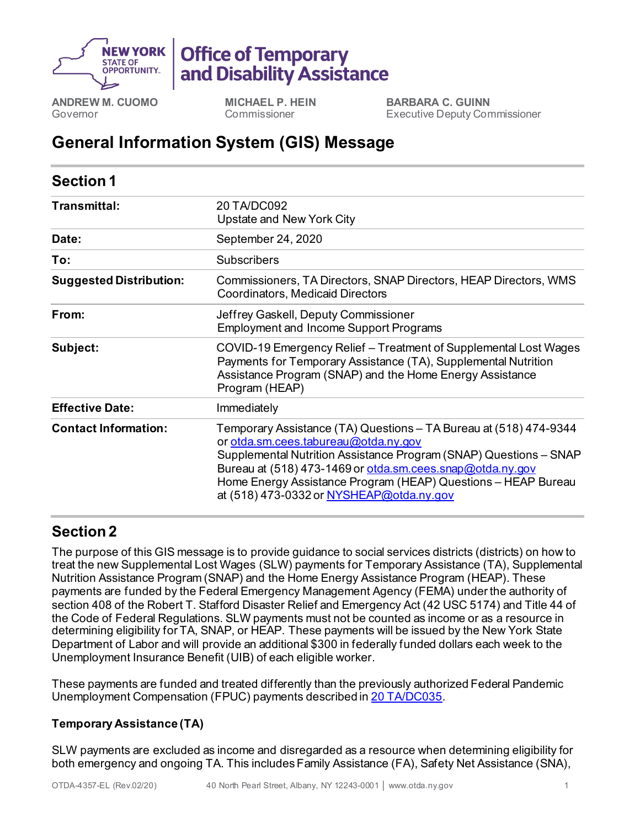

# **Office of Temporary** and Disability Assistance

**ANDREW M. CUOMO** Governor

**MICHAEL P. HEIN** Commissioner

**BARBARA C. GUINN** Executive Deputy Commissioner

# **General Information System (GIS) Message**

| <b>Section 1</b>               |                                                                                                                                                                                                                                                                                                                                                          |
|--------------------------------|----------------------------------------------------------------------------------------------------------------------------------------------------------------------------------------------------------------------------------------------------------------------------------------------------------------------------------------------------------|
| Transmittal:                   | 20 TA/DC092<br>Upstate and New York City                                                                                                                                                                                                                                                                                                                 |
| Date:                          | September 24, 2020                                                                                                                                                                                                                                                                                                                                       |
| To:                            | <b>Subscribers</b>                                                                                                                                                                                                                                                                                                                                       |
| <b>Suggested Distribution:</b> | Commissioners, TA Directors, SNAP Directors, HEAP Directors, WMS<br><b>Coordinators, Medicaid Directors</b>                                                                                                                                                                                                                                              |
| From:                          | Jeffrey Gaskell, Deputy Commissioner<br><b>Employment and Income Support Programs</b>                                                                                                                                                                                                                                                                    |
| Subject:                       | COVID-19 Emergency Relief - Treatment of Supplemental Lost Wages<br>Payments for Temporary Assistance (TA), Supplemental Nutrition<br>Assistance Program (SNAP) and the Home Energy Assistance<br>Program (HEAP)                                                                                                                                         |
| <b>Effective Date:</b>         | Immediately                                                                                                                                                                                                                                                                                                                                              |
| <b>Contact Information:</b>    | Temporary Assistance (TA) Questions – TA Bureau at (518) 474-9344<br>or otda.sm.cees.tabureau@otda.ny.gov<br>Supplemental Nutrition Assistance Program (SNAP) Questions - SNAP<br>Bureau at (518) 473-1469 or otda.sm.cees.snap@otda.ny.gov<br>Home Energy Assistance Program (HEAP) Questions - HEAP Bureau<br>at (518) 473-0332 or NYSHEAP@otda.ny.gov |

## **Section 2**

The purpose of this GIS message is to provide guidance to social services districts (districts) on how to treat the new Supplemental Lost Wages (SLW) payments for Temporary Assistance (TA), Supplemental Nutrition Assistance Program (SNAP) and the Home Energy Assistance Program (HEAP). These payments are funded by the Federal Emergency Management Agency (FEMA) under the authority of section 408 of the Robert T. Stafford Disaster Relief and Emergency Act (42 USC 5174) and Title 44 of the Code of Federal Regulations. SLW payments must not be counted as income or as a resource in determining eligibility for TA, SNAP, or HEAP. These payments will be issued by the New York State Department of Labor and will provide an additional \$300 in federally funded dollars each week to the Unemployment Insurance Benefit (UIB) of each eligible worker.

These payments are funded and treated differently than the previously authorized Federal Pandemic Unemployment Compensation (FPUC) payments described in [20 TA/DC035](https://otda.ny.gov/policy/gis/2020/20DC035.pdf).

### **Temporary Assistance (TA)**

SLW payments are excluded as income and disregarded as a resource when determining eligibility for both emergency and ongoing TA. This includes Family Assistance (FA), Safety Net Assistance (SNA),